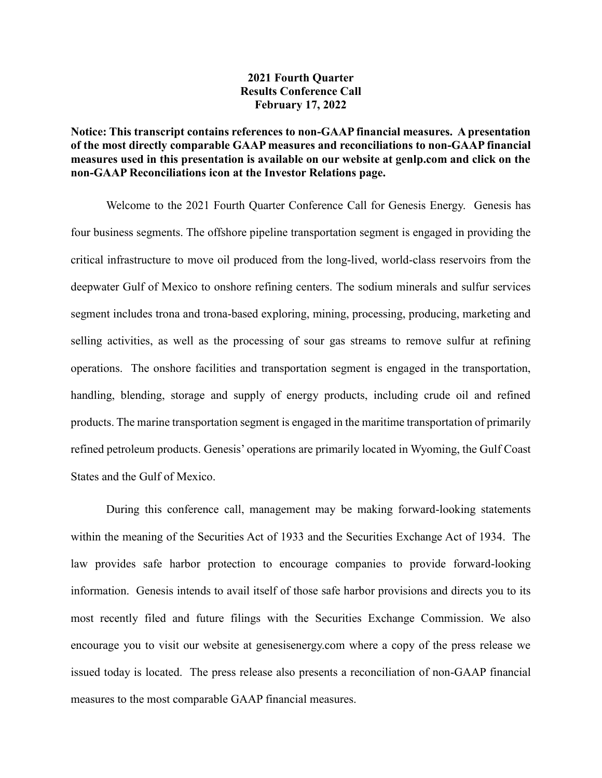## **2021 Fourth Quarter Results Conference Call February 17, 2022**

## **Notice: This transcript contains references to non-GAAP financial measures. A presentation of the most directly comparable GAAP measures and reconciliations to non-GAAP financial measures used in this presentation is available on our website at genlp.com and click on the non-GAAP Reconciliations icon at the Investor Relations page.**

Welcome to the 2021 Fourth Quarter Conference Call for Genesis Energy. Genesis has four business segments. The offshore pipeline transportation segment is engaged in providing the critical infrastructure to move oil produced from the long-lived, world-class reservoirs from the deepwater Gulf of Mexico to onshore refining centers. The sodium minerals and sulfur services segment includes trona and trona-based exploring, mining, processing, producing, marketing and selling activities, as well as the processing of sour gas streams to remove sulfur at refining operations. The onshore facilities and transportation segment is engaged in the transportation, handling, blending, storage and supply of energy products, including crude oil and refined products. The marine transportation segment is engaged in the maritime transportation of primarily refined petroleum products. Genesis' operations are primarily located in Wyoming, the Gulf Coast States and the Gulf of Mexico.

During this conference call, management may be making forward-looking statements within the meaning of the Securities Act of 1933 and the Securities Exchange Act of 1934. The law provides safe harbor protection to encourage companies to provide forward-looking information. Genesis intends to avail itself of those safe harbor provisions and directs you to its most recently filed and future filings with the Securities Exchange Commission. We also encourage you to visit our website at genesisenergy.com where a copy of the press release we issued today is located. The press release also presents a reconciliation of non-GAAP financial measures to the most comparable GAAP financial measures.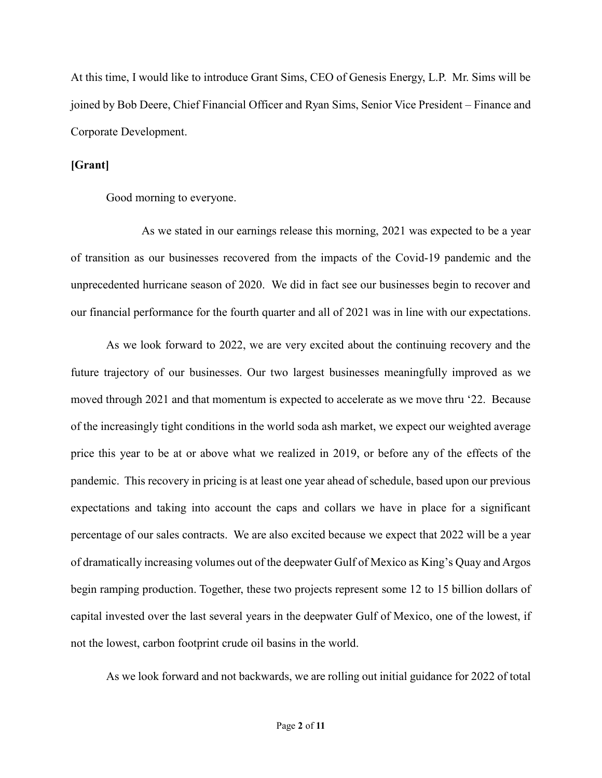At this time, I would like to introduce Grant Sims, CEO of Genesis Energy, L.P. Mr. Sims will be joined by Bob Deere, Chief Financial Officer and Ryan Sims, Senior Vice President – Finance and Corporate Development.

**[Grant]**

Good morning to everyone.

As we stated in our earnings release this morning, 2021 was expected to be a year of transition as our businesses recovered from the impacts of the Covid-19 pandemic and the unprecedented hurricane season of 2020. We did in fact see our businesses begin to recover and our financial performance for the fourth quarter and all of 2021 was in line with our expectations.

As we look forward to 2022, we are very excited about the continuing recovery and the future trajectory of our businesses. Our two largest businesses meaningfully improved as we moved through 2021 and that momentum is expected to accelerate as we move thru '22. Because of the increasingly tight conditions in the world soda ash market, we expect our weighted average price this year to be at or above what we realized in 2019, or before any of the effects of the pandemic. This recovery in pricing is at least one year ahead of schedule, based upon our previous expectations and taking into account the caps and collars we have in place for a significant percentage of our sales contracts. We are also excited because we expect that 2022 will be a year of dramatically increasing volumes out of the deepwater Gulf of Mexico as King's Quay and Argos begin ramping production. Together, these two projects represent some 12 to 15 billion dollars of capital invested over the last several years in the deepwater Gulf of Mexico, one of the lowest, if not the lowest, carbon footprint crude oil basins in the world.

As we look forward and not backwards, we are rolling out initial guidance for 2022 of total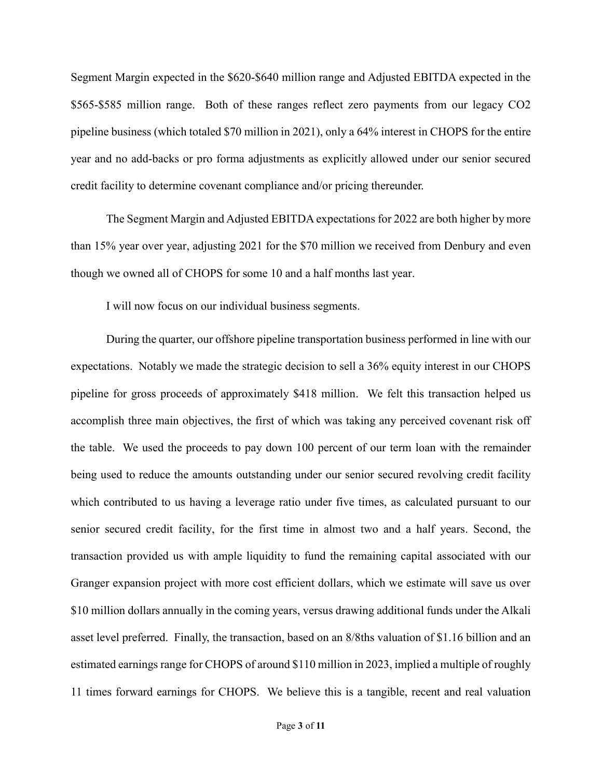Segment Margin expected in the \$620-\$640 million range and Adjusted EBITDA expected in the \$565-\$585 million range. Both of these ranges reflect zero payments from our legacy CO2 pipeline business (which totaled \$70 million in 2021), only a 64% interest in CHOPS for the entire year and no add-backs or pro forma adjustments as explicitly allowed under our senior secured credit facility to determine covenant compliance and/or pricing thereunder.

The Segment Margin and Adjusted EBITDA expectations for 2022 are both higher by more than 15% year over year, adjusting 2021 for the \$70 million we received from Denbury and even though we owned all of CHOPS for some 10 and a half months last year.

I will now focus on our individual business segments.

During the quarter, our offshore pipeline transportation business performed in line with our expectations. Notably we made the strategic decision to sell a 36% equity interest in our CHOPS pipeline for gross proceeds of approximately \$418 million. We felt this transaction helped us accomplish three main objectives, the first of which was taking any perceived covenant risk off the table. We used the proceeds to pay down 100 percent of our term loan with the remainder being used to reduce the amounts outstanding under our senior secured revolving credit facility which contributed to us having a leverage ratio under five times, as calculated pursuant to our senior secured credit facility, for the first time in almost two and a half years. Second, the transaction provided us with ample liquidity to fund the remaining capital associated with our Granger expansion project with more cost efficient dollars, which we estimate will save us over \$10 million dollars annually in the coming years, versus drawing additional funds under the Alkali asset level preferred. Finally, the transaction, based on an 8/8ths valuation of \$1.16 billion and an estimated earnings range for CHOPS of around \$110 million in 2023, implied a multiple of roughly 11 times forward earnings for CHOPS. We believe this is a tangible, recent and real valuation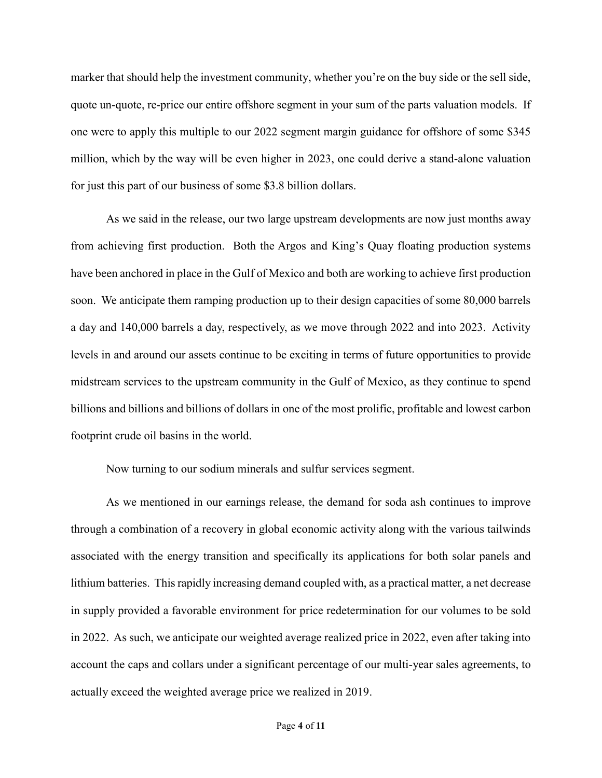marker that should help the investment community, whether you're on the buy side or the sell side, quote un-quote, re-price our entire offshore segment in your sum of the parts valuation models. If one were to apply this multiple to our 2022 segment margin guidance for offshore of some \$345 million, which by the way will be even higher in 2023, one could derive a stand-alone valuation for just this part of our business of some \$3.8 billion dollars.

As we said in the release, our two large upstream developments are now just months away from achieving first production. Both the Argos and King's Quay floating production systems have been anchored in place in the Gulf of Mexico and both are working to achieve first production soon. We anticipate them ramping production up to their design capacities of some 80,000 barrels a day and 140,000 barrels a day, respectively, as we move through 2022 and into 2023. Activity levels in and around our assets continue to be exciting in terms of future opportunities to provide midstream services to the upstream community in the Gulf of Mexico, as they continue to spend billions and billions and billions of dollars in one of the most prolific, profitable and lowest carbon footprint crude oil basins in the world.

Now turning to our sodium minerals and sulfur services segment.

As we mentioned in our earnings release, the demand for soda ash continues to improve through a combination of a recovery in global economic activity along with the various tailwinds associated with the energy transition and specifically its applications for both solar panels and lithium batteries. This rapidly increasing demand coupled with, as a practical matter, a net decrease in supply provided a favorable environment for price redetermination for our volumes to be sold in 2022. As such, we anticipate our weighted average realized price in 2022, even after taking into account the caps and collars under a significant percentage of our multi-year sales agreements, to actually exceed the weighted average price we realized in 2019.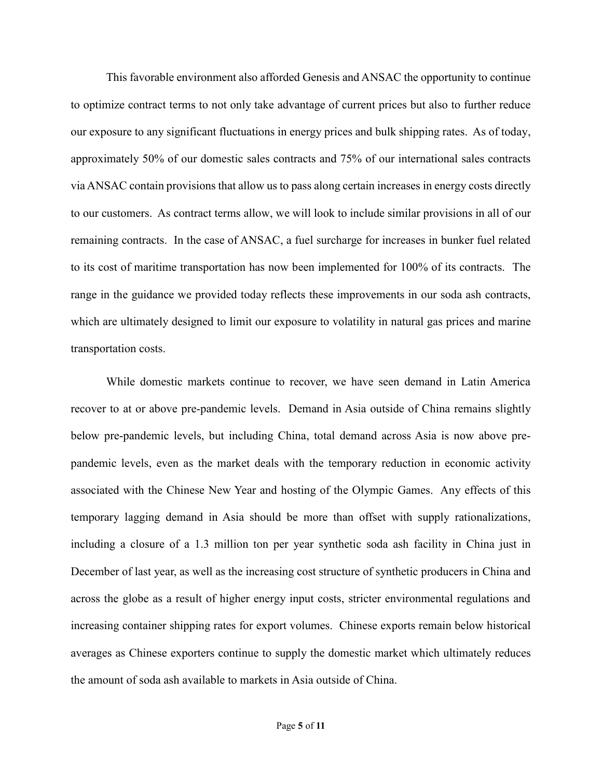This favorable environment also afforded Genesis and ANSAC the opportunity to continue to optimize contract terms to not only take advantage of current prices but also to further reduce our exposure to any significant fluctuations in energy prices and bulk shipping rates. As of today, approximately 50% of our domestic sales contracts and 75% of our international sales contracts via ANSAC contain provisions that allow us to pass along certain increases in energy costs directly to our customers. As contract terms allow, we will look to include similar provisions in all of our remaining contracts. In the case of ANSAC, a fuel surcharge for increases in bunker fuel related to its cost of maritime transportation has now been implemented for 100% of its contracts. The range in the guidance we provided today reflects these improvements in our soda ash contracts, which are ultimately designed to limit our exposure to volatility in natural gas prices and marine transportation costs.

While domestic markets continue to recover, we have seen demand in Latin America recover to at or above pre-pandemic levels. Demand in Asia outside of China remains slightly below pre-pandemic levels, but including China, total demand across Asia is now above prepandemic levels, even as the market deals with the temporary reduction in economic activity associated with the Chinese New Year and hosting of the Olympic Games. Any effects of this temporary lagging demand in Asia should be more than offset with supply rationalizations, including a closure of a 1.3 million ton per year synthetic soda ash facility in China just in December of last year, as well as the increasing cost structure of synthetic producers in China and across the globe as a result of higher energy input costs, stricter environmental regulations and increasing container shipping rates for export volumes. Chinese exports remain below historical averages as Chinese exporters continue to supply the domestic market which ultimately reduces the amount of soda ash available to markets in Asia outside of China.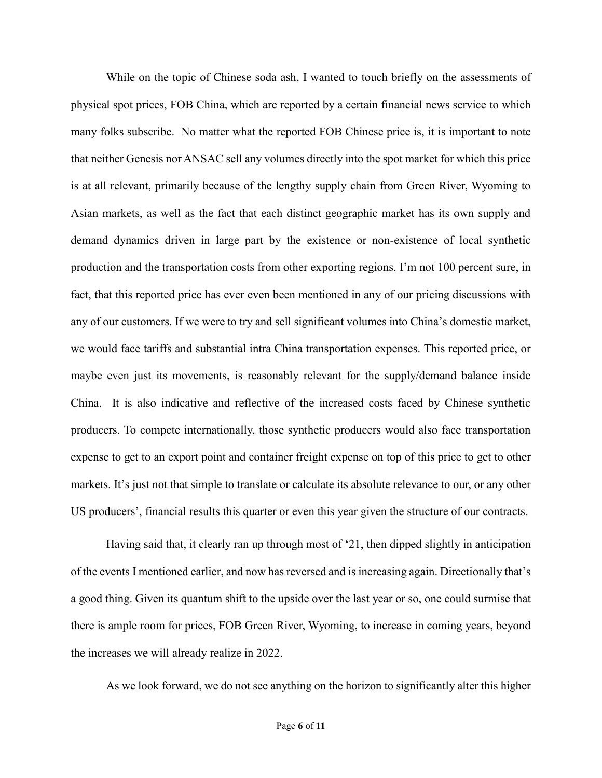While on the topic of Chinese soda ash, I wanted to touch briefly on the assessments of physical spot prices, FOB China, which are reported by a certain financial news service to which many folks subscribe. No matter what the reported FOB Chinese price is, it is important to note that neither Genesis nor ANSAC sell any volumes directly into the spot market for which this price is at all relevant, primarily because of the lengthy supply chain from Green River, Wyoming to Asian markets, as well as the fact that each distinct geographic market has its own supply and demand dynamics driven in large part by the existence or non-existence of local synthetic production and the transportation costs from other exporting regions. I'm not 100 percent sure, in fact, that this reported price has ever even been mentioned in any of our pricing discussions with any of our customers. If we were to try and sell significant volumes into China's domestic market, we would face tariffs and substantial intra China transportation expenses. This reported price, or maybe even just its movements, is reasonably relevant for the supply/demand balance inside China. It is also indicative and reflective of the increased costs faced by Chinese synthetic producers. To compete internationally, those synthetic producers would also face transportation expense to get to an export point and container freight expense on top of this price to get to other markets. It's just not that simple to translate or calculate its absolute relevance to our, or any other US producers', financial results this quarter or even this year given the structure of our contracts.

Having said that, it clearly ran up through most of '21, then dipped slightly in anticipation of the events I mentioned earlier, and now has reversed and is increasing again. Directionally that's a good thing. Given its quantum shift to the upside over the last year or so, one could surmise that there is ample room for prices, FOB Green River, Wyoming, to increase in coming years, beyond the increases we will already realize in 2022.

As we look forward, we do not see anything on the horizon to significantly alter this higher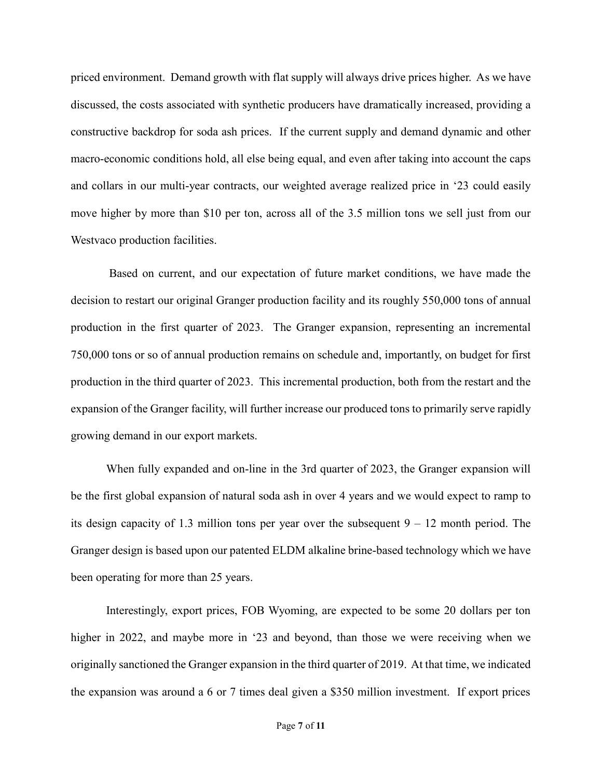priced environment. Demand growth with flat supply will always drive prices higher. As we have discussed, the costs associated with synthetic producers have dramatically increased, providing a constructive backdrop for soda ash prices. If the current supply and demand dynamic and other macro-economic conditions hold, all else being equal, and even after taking into account the caps and collars in our multi-year contracts, our weighted average realized price in '23 could easily move higher by more than \$10 per ton, across all of the 3.5 million tons we sell just from our Westvaco production facilities.

Based on current, and our expectation of future market conditions, we have made the decision to restart our original Granger production facility and its roughly 550,000 tons of annual production in the first quarter of 2023. The Granger expansion, representing an incremental 750,000 tons or so of annual production remains on schedule and, importantly, on budget for first production in the third quarter of 2023. This incremental production, both from the restart and the expansion of the Granger facility, will further increase our produced tons to primarily serve rapidly growing demand in our export markets.

When fully expanded and on-line in the 3rd quarter of 2023, the Granger expansion will be the first global expansion of natural soda ash in over 4 years and we would expect to ramp to its design capacity of 1.3 million tons per year over the subsequent  $9 - 12$  month period. The Granger design is based upon our patented ELDM alkaline brine-based technology which we have been operating for more than 25 years.

Interestingly, export prices, FOB Wyoming, are expected to be some 20 dollars per ton higher in 2022, and maybe more in '23 and beyond, than those we were receiving when we originally sanctioned the Granger expansion in the third quarter of 2019. At that time, we indicated the expansion was around a 6 or 7 times deal given a \$350 million investment. If export prices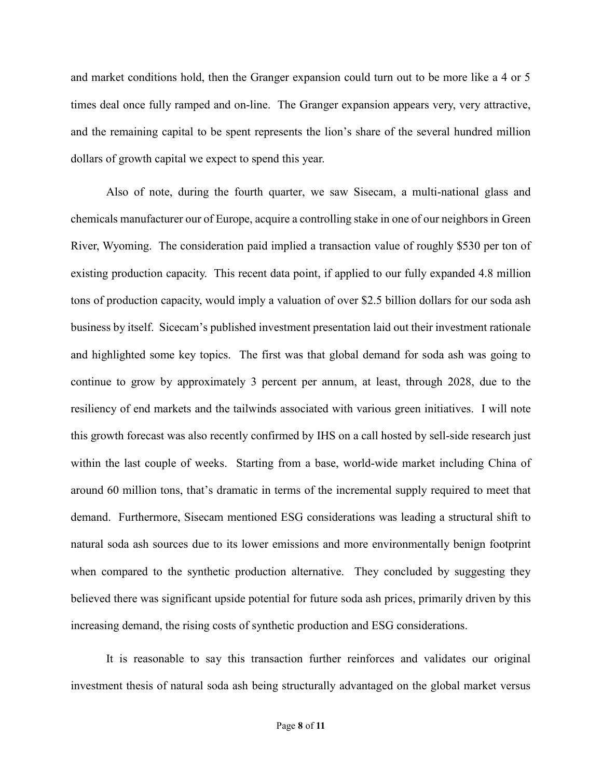and market conditions hold, then the Granger expansion could turn out to be more like a 4 or 5 times deal once fully ramped and on-line. The Granger expansion appears very, very attractive, and the remaining capital to be spent represents the lion's share of the several hundred million dollars of growth capital we expect to spend this year.

Also of note, during the fourth quarter, we saw Sisecam, a multi-national glass and chemicals manufacturer our of Europe, acquire a controlling stake in one of our neighbors in Green River, Wyoming. The consideration paid implied a transaction value of roughly \$530 per ton of existing production capacity. This recent data point, if applied to our fully expanded 4.8 million tons of production capacity, would imply a valuation of over \$2.5 billion dollars for our soda ash business by itself. Sicecam's published investment presentation laid out their investment rationale and highlighted some key topics. The first was that global demand for soda ash was going to continue to grow by approximately 3 percent per annum, at least, through 2028, due to the resiliency of end markets and the tailwinds associated with various green initiatives. I will note this growth forecast was also recently confirmed by IHS on a call hosted by sell-side research just within the last couple of weeks. Starting from a base, world-wide market including China of around 60 million tons, that's dramatic in terms of the incremental supply required to meet that demand. Furthermore, Sisecam mentioned ESG considerations was leading a structural shift to natural soda ash sources due to its lower emissions and more environmentally benign footprint when compared to the synthetic production alternative. They concluded by suggesting they believed there was significant upside potential for future soda ash prices, primarily driven by this increasing demand, the rising costs of synthetic production and ESG considerations.

It is reasonable to say this transaction further reinforces and validates our original investment thesis of natural soda ash being structurally advantaged on the global market versus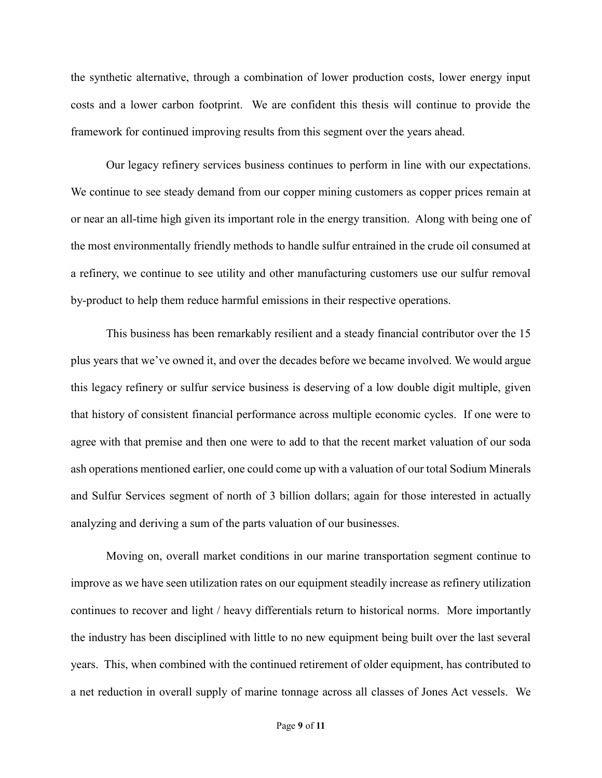the synthetic alternative, through a combination of lower production costs, lower energy input costs and a lower carbon footprint. We are confident this thesis will continue to provide the framework for continued improving results from this segment over the years ahead.

Our legacy refinery services business continues to perform in line with our expectations. We continue to see steady demand from our copper mining customers as copper prices remain at or near an all-time high given its important role in the energy transition. Along with being one of the most environmentally friendly methods to handle sulfur entrained in the crude oil consumed at a refinery, we continue to see utility and other manufacturing customers use our sulfur removal by-product to help them reduce harmful emissions in their respective operations.

This business has been remarkably resilient and a steady financial contributor over the 15 plus years that we've owned it, and over the decades before we became involved. We would argue this legacy refinery or sulfur service business is deserving of a low double digit multiple, given that history of consistent financial performance across multiple economic cycles. If one were to agree with that premise and then one were to add to that the recent market valuation of our soda ash operations mentioned earlier, one could come up with a valuation of our total Sodium Minerals and Sulfur Services segment of north of 3 billion dollars; again for those interested in actually analyzing and deriving a sum of the parts valuation of our businesses.

Moving on, overall market conditions in our marine transportation segment continue to improve as we have seen utilization rates on our equipment steadily increase as refinery utilization continues to recover and light / heavy differentials return to historical norms. More importantly the industry has been disciplined with little to no new equipment being built over the last several years. This, when combined with the continued retirement of older equipment, has contributed to a net reduction in overall supply of marine tonnage across all classes of Jones Act vessels. We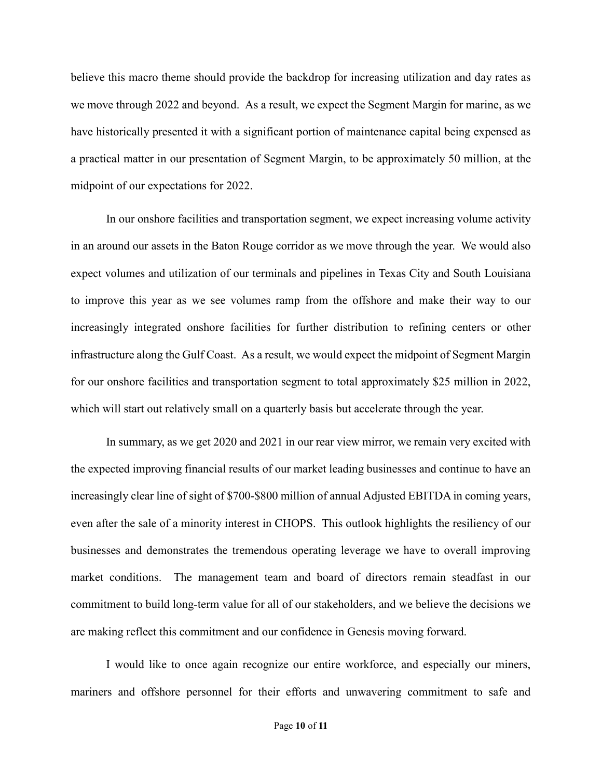believe this macro theme should provide the backdrop for increasing utilization and day rates as we move through 2022 and beyond. As a result, we expect the Segment Margin for marine, as we have historically presented it with a significant portion of maintenance capital being expensed as a practical matter in our presentation of Segment Margin, to be approximately 50 million, at the midpoint of our expectations for 2022.

In our onshore facilities and transportation segment, we expect increasing volume activity in an around our assets in the Baton Rouge corridor as we move through the year. We would also expect volumes and utilization of our terminals and pipelines in Texas City and South Louisiana to improve this year as we see volumes ramp from the offshore and make their way to our increasingly integrated onshore facilities for further distribution to refining centers or other infrastructure along the Gulf Coast. As a result, we would expect the midpoint of Segment Margin for our onshore facilities and transportation segment to total approximately \$25 million in 2022, which will start out relatively small on a quarterly basis but accelerate through the year.

In summary, as we get 2020 and 2021 in our rear view mirror, we remain very excited with the expected improving financial results of our market leading businesses and continue to have an increasingly clear line of sight of \$700-\$800 million of annual Adjusted EBITDA in coming years, even after the sale of a minority interest in CHOPS. This outlook highlights the resiliency of our businesses and demonstrates the tremendous operating leverage we have to overall improving market conditions. The management team and board of directors remain steadfast in our commitment to build long-term value for all of our stakeholders, and we believe the decisions we are making reflect this commitment and our confidence in Genesis moving forward.

I would like to once again recognize our entire workforce, and especially our miners, mariners and offshore personnel for their efforts and unwavering commitment to safe and